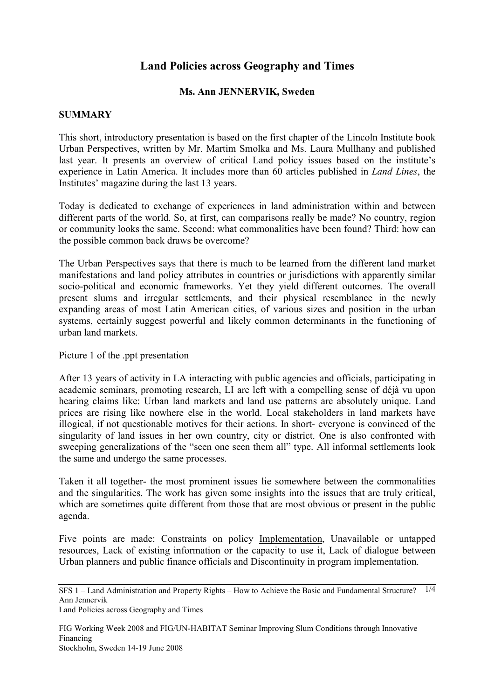# **Land Policies across Geography and Times**

### **Ms. Ann JENNERVIK, Sweden**

#### **SUMMARY**

This short, introductory presentation is based on the first chapter of the Lincoln Institute book Urban Perspectives, written by Mr. Martim Smolka and Ms. Laura Mullhany and published last year. It presents an overview of critical Land policy issues based on the institute's experience in Latin America. It includes more than 60 articles published in *Land Lines*, the Institutes' magazine during the last 13 years.

Today is dedicated to exchange of experiences in land administration within and between different parts of the world. So, at first, can comparisons really be made? No country, region or community looks the same. Second: what commonalities have been found? Third: how can the possible common back draws be overcome?

The Urban Perspectives says that there is much to be learned from the different land market manifestations and land policy attributes in countries or jurisdictions with apparently similar socio-political and economic frameworks. Yet they yield different outcomes. The overall present slums and irregular settlements, and their physical resemblance in the newly expanding areas of most Latin American cities, of various sizes and position in the urban systems, certainly suggest powerful and likely common determinants in the functioning of urban land markets.

#### Picture 1 of the .ppt presentation

After 13 years of activity in LA interacting with public agencies and officials, participating in academic seminars, promoting research, LI are left with a compelling sense of déjà vu upon hearing claims like: Urban land markets and land use patterns are absolutely unique. Land prices are rising like nowhere else in the world. Local stakeholders in land markets have illogical, if not questionable motives for their actions. In short- everyone is convinced of the singularity of land issues in her own country, city or district. One is also confronted with sweeping generalizations of the "seen one seen them all" type. All informal settlements look the same and undergo the same processes.

Taken it all together- the most prominent issues lie somewhere between the commonalities and the singularities. The work has given some insights into the issues that are truly critical, which are sometimes quite different from those that are most obvious or present in the public agenda.

Five points are made: Constraints on policy Implementation, Unavailable or untapped resources, Lack of existing information or the capacity to use it, Lack of dialogue between Urban planners and public finance officials and Discontinuity in program implementation.

FIG Working Week 2008 and FIG/UN-HABITAT Seminar Improving Slum Conditions through Innovative Financing Stockholm, Sweden 14-19 June 2008

SFS 1 – Land Administration and Property Rights – How to Achieve the Basic and Fundamental Structure? 1/4 Ann Jennervik Land Policies across Geography and Times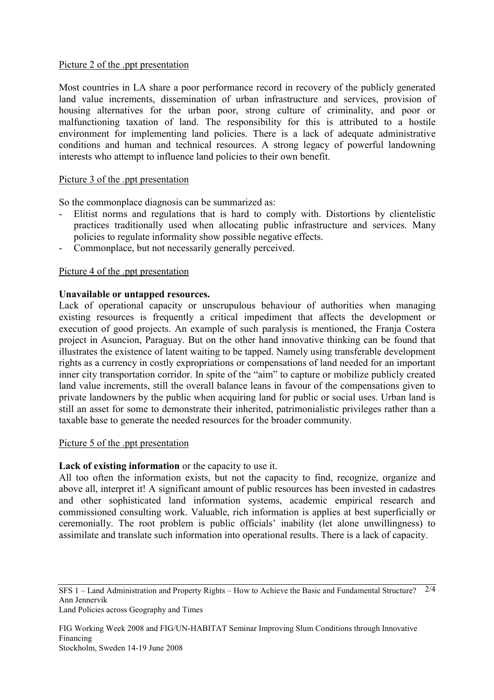### Picture 2 of the .ppt presentation

Most countries in LA share a poor performance record in recovery of the publicly generated land value increments, dissemination of urban infrastructure and services, provision of housing alternatives for the urban poor, strong culture of criminality, and poor or malfunctioning taxation of land. The responsibility for this is attributed to a hostile environment for implementing land policies. There is a lack of adequate administrative conditions and human and technical resources. A strong legacy of powerful landowning interests who attempt to influence land policies to their own benefit.

### Picture 3 of the .ppt presentation

So the commonplace diagnosis can be summarized as:

- Elitist norms and regulations that is hard to comply with. Distortions by clientelistic practices traditionally used when allocating public infrastructure and services. Many policies to regulate informality show possible negative effects.
- Commonplace, but not necessarily generally perceived.

## Picture 4 of the .ppt presentation

### **Unavailable or untapped resources.**

Lack of operational capacity or unscrupulous behaviour of authorities when managing existing resources is frequently a critical impediment that affects the development or execution of good projects. An example of such paralysis is mentioned, the Franja Costera project in Asuncion, Paraguay. But on the other hand innovative thinking can be found that illustrates the existence of latent waiting to be tapped. Namely using transferable development rights as a currency in costly expropriations or compensations of land needed for an important inner city transportation corridor. In spite of the "aim" to capture or mobilize publicly created land value increments, still the overall balance leans in favour of the compensations given to private landowners by the public when acquiring land for public or social uses. Urban land is still an asset for some to demonstrate their inherited, patrimonialistic privileges rather than a taxable base to generate the needed resources for the broader community.

### Picture 5 of the .ppt presentation

# **Lack of existing information** or the capacity to use it.

All too often the information exists, but not the capacity to find, recognize, organize and above all, interpret it! A significant amount of public resources has been invested in cadastres and other sophisticated land information systems, academic empirical research and commissioned consulting work. Valuable, rich information is applies at best superficially or ceremonially. The root problem is public officials' inability (let alone unwillingness) to assimilate and translate such information into operational results. There is a lack of capacity.

FIG Working Week 2008 and FIG/UN-HABITAT Seminar Improving Slum Conditions through Innovative Financing

SFS 1 – Land Administration and Property Rights – How to Achieve the Basic and Fundamental Structure? 2/4 Ann Jennervik Land Policies across Geography and Times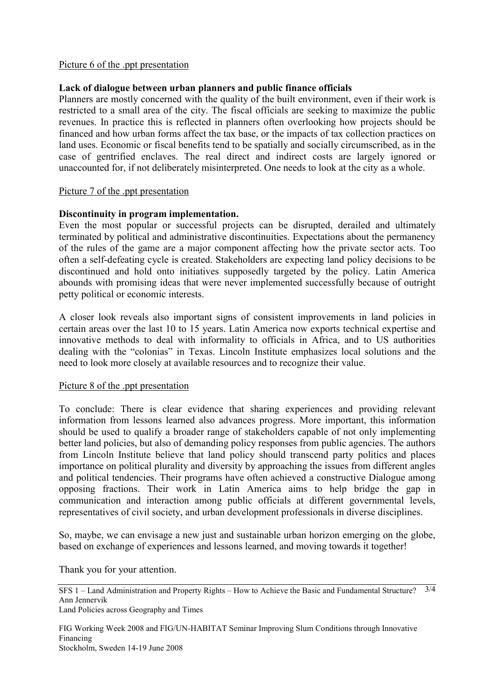### Picture 6 of the .ppt presentation

#### **Lack of dialogue between urban planners and public finance officials**

Planners are mostly concerned with the quality of the built environment, even if their work is restricted to a small area of the city. The fiscal officials are seeking to maximize the public revenues. In practice this is reflected in planners often overlooking how projects should be financed and how urban forms affect the tax base, or the impacts of tax collection practices on land uses. Economic or fiscal benefits tend to be spatially and socially circumscribed, as in the case of gentrified enclaves. The real direct and indirect costs are largely ignored or unaccounted for, if not deliberately misinterpreted. One needs to look at the city as a whole.

#### Picture 7 of the .ppt presentation

#### **Discontinuity in program implementation.**

Even the most popular or successful projects can be disrupted, derailed and ultimately terminated by political and administrative discontinuities. Expectations about the permanency of the rules of the game are a major component affecting how the private sector acts. Too often a self-defeating cycle is created. Stakeholders are expecting land policy decisions to be discontinued and hold onto initiatives supposedly targeted by the policy. Latin America abounds with promising ideas that were never implemented successfully because of outright petty political or economic interests.

A closer look reveals also important signs of consistent improvements in land policies in certain areas over the last 10 to 15 years. Latin America now exports technical expertise and innovative methods to deal with informality to officials in Africa, and to US authorities dealing with the "colonias" in Texas. Lincoln Institute emphasizes local solutions and the need to look more closely at available resources and to recognize their value.

#### Picture 8 of the .ppt presentation

To conclude: There is clear evidence that sharing experiences and providing relevant information from lessons learned also advances progress. More important, this information should be used to qualify a broader range of stakeholders capable of not only implementing better land policies, but also of demanding policy responses from public agencies. The authors from Lincoln Institute believe that land policy should transcend party politics and places importance on political plurality and diversity by approaching the issues from different angles and political tendencies. Their programs have often achieved a constructive Dialogue among opposing fractions. Their work in Latin America aims to help bridge the gap in communication and interaction among public officials at different governmental levels, representatives of civil society, and urban development professionals in diverse disciplines.

So, maybe, we can envisage a new just and sustainable urban horizon emerging on the globe, based on exchange of experiences and lessons learned, and moving towards it together!

Thank you for your attention.

FIG Working Week 2008 and FIG/UN-HABITAT Seminar Improving Slum Conditions through Innovative Financing Stockholm, Sweden 14-19 June 2008

SFS 1 – Land Administration and Property Rights – How to Achieve the Basic and Fundamental Structure? 3/4 Ann Jennervik Land Policies across Geography and Times